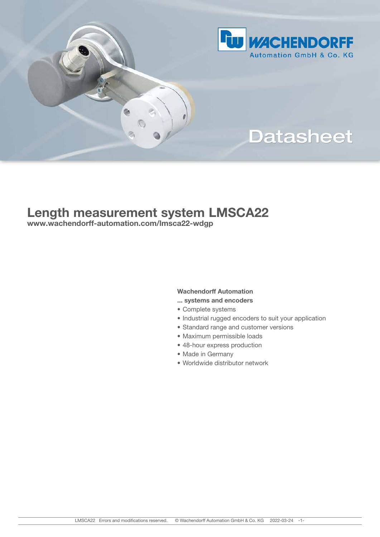

# **Datasheet**

# Length measurement system LMSCA22

www.wachendorff-automation.com/lmsca22-wdgp

G.

### Wachendorff Automation

- ... systems and encoders
- Complete systems
- Industrial rugged encoders to suit your application
- Standard range and customer versions
- Maximum permissible loads
- 48-hour express production
- Made in Germany
- Worldwide distributor network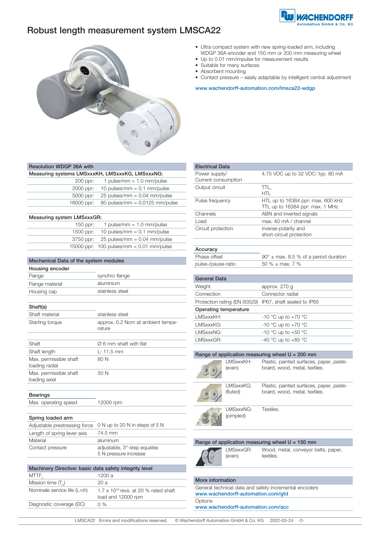

# Robust length measurement system LMSCA22



| • Ultra compact system with new spring-loaded arm, including |
|--------------------------------------------------------------|
| WDGP 36A encoder and 150 mm or 200 mm measuring wheel        |

- Up to 0.01 mm/impulse for measurement results
- Suitable for many surfaces
- Absorbent mounting
- Contact pressure easily adaptable by intelligent central adjustment

www.wachendorff-automation.com/lmsca22-wdgp

| <b>Resolution WDGP 36A with</b>                 |                                  |  |
|-------------------------------------------------|----------------------------------|--|
| Measuring systems LMSxxxKH, LMSxxxKG, LMSxxxNG: |                                  |  |
| 200 ppr:                                        | 1 pulse/mm = $1.0$ mm/pulse      |  |
| 2000 ppr:                                       | 10 pulses/mm = $0.1$ mm/pulse    |  |
| 5000 ppr:                                       | 25 pulses/mm = $0.04$ mm/pulse   |  |
| 16000 ppr:                                      | 80 pulses/mm = $0.0125$ mm/pulse |  |
|                                                 |                                  |  |

| Measuring system LMSxxxGR: |                                            |  |
|----------------------------|--------------------------------------------|--|
| $150$ ppr:                 | 1 pulse/mm = $1.0$ mm/pulse                |  |
| 1500 ppr:                  | 10 pulses/mm = $0.1$ mm/pulse              |  |
|                            | $3750$ ppr: $25$ pulses/mm = 0.04 mm/pulse |  |
|                            | 15000 ppr: 100 pulses/mm = $0.01$ mm/pulse |  |

| Mechanical Data of the system modules |                                             |  |
|---------------------------------------|---------------------------------------------|--|
| Housing encoder                       |                                             |  |
| Flange                                | synchro flange                              |  |
| Flange material                       | aluminium                                   |  |
| Housing cap                           | stainless steel                             |  |
|                                       |                                             |  |
| Shaft(s)                              |                                             |  |
| Shaft material                        | stainless steel                             |  |
| Starting torque                       | approx. 0.2 Ncm at ambient tempe-<br>rature |  |

|                                          | i atui <del>c</del>                |
|------------------------------------------|------------------------------------|
|                                          |                                    |
| Shaft                                    | $\varnothing$ 6 mm shaft with flat |
| Shaft length                             | $L: 11.5 \, \text{mm}$             |
| Max. permissible shaft<br>loading radial | 80 N                               |
| Max. permissible shaft<br>loading axial  | 50 N                               |
|                                          |                                    |

#### Bearings

Max. operating speed 12000 rpm

#### Spring loaded arm

|                             | Adjustable prestressing force 0 N up to 20 N in steps of 5 N |
|-----------------------------|--------------------------------------------------------------|
| Length of spring lever axis | 74.5 mm                                                      |
| Material                    | aluminum                                                     |
| Contact pressure            | adjustable, 3°-step equates<br>5 N pressure increase         |

| Machinery Directive: basic data safety integrity level |                                                                      |
|--------------------------------------------------------|----------------------------------------------------------------------|
| MTTF,                                                  | 1200 a                                                               |
| Mission time (T.)                                      | 20 a                                                                 |
| Nominale service life (L <sub>10</sub> h)              | $1.7 \times 10^{10}$ revs. at 20 % rated shaft<br>load and 12000 rpm |
| Diagnostic coverage (DC)                               | $0\%$                                                                |
|                                                        |                                                                      |

| <b>Electrical Data</b>               |                                                                      |
|--------------------------------------|----------------------------------------------------------------------|
| Power supply/<br>Current consumption | 4.75 VDC up to 32 VDC: typ. 80 mA                                    |
| Output circuit                       | TTL.<br>HTL                                                          |
| Pulse frequency                      | HTL up to 16384 ppr: max. 600 kHz<br>TTL up to 16384 ppr: max. 1 MHz |
| Channels                             | ABN and inverted signals                                             |
| Load                                 | max. 40 mA / channel                                                 |
| Circuit protection                   | inverse-polarity and<br>short-circuit protection                     |
| Accuracy                             |                                                                      |
| Phase offset                         | $90^{\circ}$ ± max. 8.5 % of a period duration                       |
| pulse-/pause-ratio                   | 50 % $\pm$ max, 7 %                                                  |
|                                      |                                                                      |
| <b>General Data</b>                  |                                                                      |
| Weight                               | approx. 270 g                                                        |
| Connection                           | Connector radial                                                     |
| Protection rating (EN 60529)         | IP67, shaft sealed to IP65                                           |

| Operating temperature |                         |
|-----------------------|-------------------------|
| LMSxxxKH:             | $-10$ °C up to $+70$ °C |
| LMSxxxKG:             | $-10$ °C up to $+70$ °C |
| LMSxxxNG:             | $-10$ °C up to $+50$ °C |
| LMSxxxGR:             | -40 °C up to +85 °C     |

| Range of application measuring wheel $U = 200$ mm |                         |                                                                           |
|---------------------------------------------------|-------------------------|---------------------------------------------------------------------------|
|                                                   | I MSxxxKH:<br>(even)    | Plastic, painted surfaces, paper, paste-<br>board, wood, metal, textiles. |
|                                                   | I MSxxxKG:<br>(fluted)  | Plastic, painted surfaces, paper, paste-<br>board, wood, metal, textiles. |
|                                                   | I MSxxxNG:<br>(pimpled) | Textiles.                                                                 |

|           | Range of application measuring wheel $U = 150$ mm |
|-----------|---------------------------------------------------|
| LMSxxxGR: | Wood, metal, conveyor belts,                      |



, paper, textiles.

#### More information

| General technical data and safety incremental encoders |
|--------------------------------------------------------|
| www.wachendorff-automation.com/gtd                     |
| Options                                                |
| www.wachendorff-automation.com/acc                     |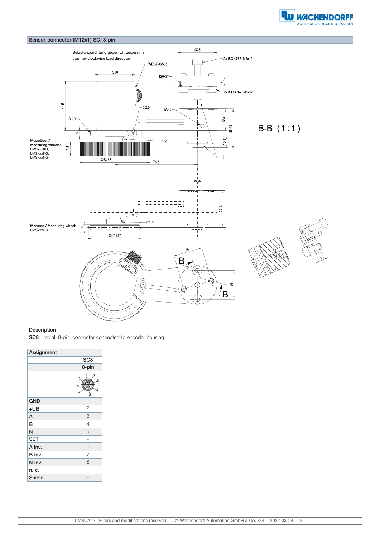



#### **Description**

SC8 radial, 8-pin, connector connected to encoder housing

| Assignment    |                  |
|---------------|------------------|
|               | SC <sub>8</sub>  |
|               | 8-pin            |
|               | 2<br>6<br>5<br>8 |
| <b>GND</b>    | $\mathbf{1}$     |
| $+UB$         | $\overline{2}$   |
| A             | 3                |
| B             | $\overline{4}$   |
| N             | 5                |
| <b>SET</b>    |                  |
| A inv.        | 6                |
| B inv.        | 7                |
| N inv.        | 8                |
| n. c.         |                  |
| <b>Shield</b> |                  |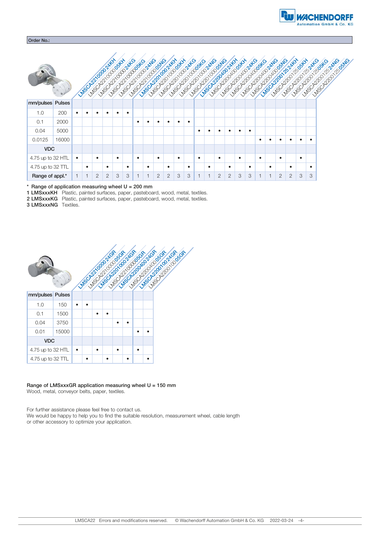



Range of application measuring wheel  $U = 200$  mm

1 LMSxxxKH Plastic, painted surfaces, paper, pasteboard, wood, metal, textiles.

2 LMSxxxKG Plastic, painted surfaces, paper, pasteboard, wood, metal, textiles.

3 LMSxxxNG Textiles.



## Range of LMSxxxGR application measuring wheel U = 150 mm

Wood, metal, conveyor belts, paper, textiles.

For further assistance please feel free to contact us. We would be happy to help you to find the suitable resolution, measurement wheel, cable length or other accessory to optimize your application.